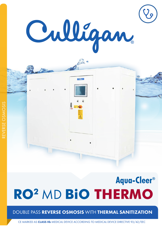

Cullfone.

# Aqua-Cleer® **RO2** MD **BiO THERMO**

## DOUBLE PASS REVERSE OSMOSIS WITH THERMAL SANITIZATION

CE MARKED AS CLASS IIb MEDICAL DEVICE ACCORDING TO MEDICAL DEVICE DIRECTIVE 93/42/EEC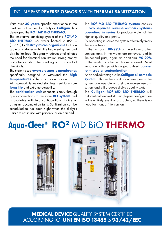### DOUBLE PASS REVERSE OSMOSIS WITH THERMAL SANITIZATION

With over 30 years specific experience in the treatment of water for dialysis **Culligan** has developed the **RO<sup>2</sup> MD BIO THERMO**.

The innovative sanitizing system of the  $RO<sup>2</sup> <sub>MD</sub>$ BIO THERMO uses water heated to 85° C  $(185<sup>o</sup> F)$  to **destroy micro-organisms** that can grow on surfaces within the treatment system and distribution loop. This greatly reduces or eliminates the need for chemical sanitization saving money and also avoiding the handling and disposal of chemicals.

The system uses **reverse osmosis membranes** specifically designed to withstand the **high** temperatures of the sanitization process.

All pipework is welded stainless steel to ensure long life and extreme durability.

The **sanitization unit** connects simply through quick connections to the main RO system and is available with two configurations: in-line or using an accumulation tank. Sanitization can be scheduled to run each night when the dialysis units are not in use with patients, or on demand.

The RO<sup>2</sup> MD BIO THERMO system consists of two separate reverse osmosis systems **operating in series** to produce water of the highest quality and purity.

By operating in series the system effectively treats the water twice.

In the first pass, **90-99%** of the salts and other contaminants in the water are removed, and in the second pass, again an additional 90-99% of the residual contaminants are removed. Most importantly this provides a quaranteed **barrier** to microbial contamination.

An added advantage to the **Culligan bi-osmosis** system is that in the event of an emergency, the system can operate on a single reverse osmosis system and still produce dialysis quality water.

The **Culligan RO<sup>2</sup> MD BIO THERMO** will automatically move to this single pass configuration in the unlikely event of a problem, so there is no need for manual intervention.

## **Aqua-Cleer®** RO2 MD BiO THERMO



MEDICAL DEVICE QUALITY SYSTEM CERTIFIED ACCORDING TO UNI EN ISO 13485 & 93/42/EEC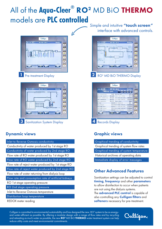## All of the **Aqua-Cleer®** RO2 MD BiO THERMO models are **PLC controlled**





## Dynamic views and the contract of the Craphic views

Inlet to Reverse Osmosis conductivity Conductivity of water produced by 1st stage RO Conductivity of water produced by 2nd stage RO Flow rate of RO water produced by 1st stage RO Flow rate of RO water produced by 2nd stage RO Flow rate of reject water produced by 1st stage RO Flow rate of reject water produced by 2nd stage RO Flow rate of water returning from dialysis loop Flow rate and consumption rate of artificial kidneys RO 1st stage operating pressure RO 2nd stage operating pressure Inlet to Reverse Osmosis temperature Distribution loop temperature

REDOX meter reading

Simple and intuitive "touch screen" interface with advanced controls.





Graphical trending of conductivity Graphical trending of system flow rates Graphical trending of system temperature Historical archives of operating data Immediate display of error messages

## Other Advanced Features

Sanitization settings can be adjusted to control timing, frequency and other parameters to allow disinfection to occur when patients are not using the dialysis systems. The **advanced PLC control** is capable of also controlling any **Culligan filters** and softeners necessary for pre-treatment.

Culligan is committed to environmental sustainability and has designed the new  $\rm~RO^2$  system to be as energyand water-efficient as possible. By offering a modular design with a range of flow rates and by recycling and retreating as much water as possible, the new **RO**<sup>2</sup> MD BiO **THERMO** water treatment system can help reduce utility costs and meet environmental commitments.